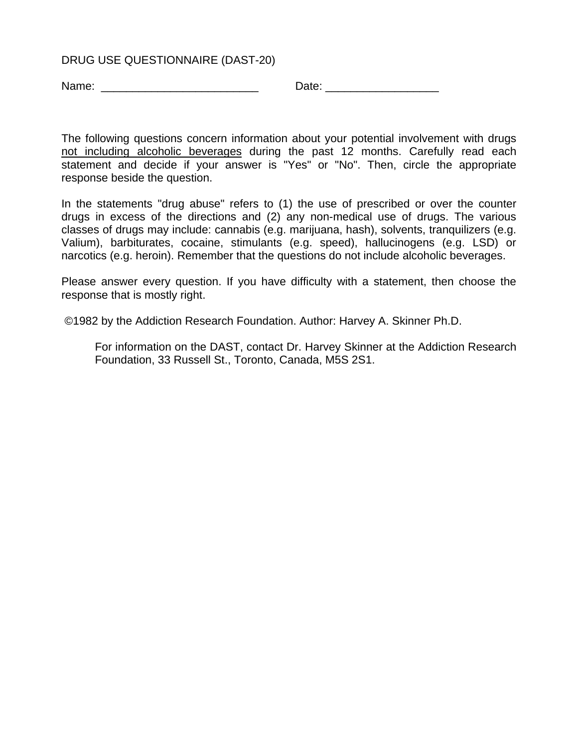## DRUG USE QUESTIONNAIRE (DAST-20)

Name: \_\_\_\_\_\_\_\_\_\_\_\_\_\_\_\_\_\_\_\_\_\_\_\_\_ Date: \_\_\_\_\_\_\_\_\_\_\_\_\_\_\_\_\_\_

The following questions concern information about your potential involvement with drugs not including alcoholic beverages during the past 12 months. Carefully read each statement and decide if your answer is "Yes" or "No". Then, circle the appropriate response beside the question.

In the statements "drug abuse" refers to (1) the use of prescribed or over the counter drugs in excess of the directions and (2) any non-medical use of drugs. The various classes of drugs may include: cannabis (e.g. marijuana, hash), solvents, tranquilizers (e.g. Valium), barbiturates, cocaine, stimulants (e.g. speed), hallucinogens (e.g. LSD) or narcotics (e.g. heroin). Remember that the questions do not include alcoholic beverages.

Please answer every question. If you have difficulty with a statement, then choose the response that is mostly right.

©1982 by the Addiction Research Foundation. Author: Harvey A. Skinner Ph.D.

For information on the DAST, contact Dr. Harvey Skinner at the Addiction Research Foundation, 33 Russell St., Toronto, Canada, M5S 2S1.